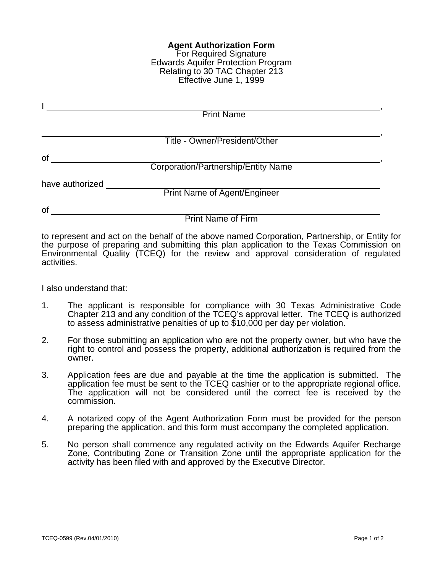## **Agent Authorization Form** For Required Signature Edwards Aquifer Protection Program Relating to 30 TAC Chapter 213 Effective June 1, 1999

|                 | <b>Print Name</b>                   |  |
|-----------------|-------------------------------------|--|
|                 |                                     |  |
|                 | Title - Owner/President/Other       |  |
| of              |                                     |  |
|                 | Corporation/Partnership/Entity Name |  |
| have authorized |                                     |  |
|                 | <b>Print Name of Agent/Engineer</b> |  |
| <b>of</b>       |                                     |  |
|                 | <b>Print Name of Firm</b>           |  |

to represent and act on the behalf of the above named Corporation, Partnership, or Entity for the purpose of preparing and submitting this plan application to the Texas Commission on Environmental Quality (TCEQ) for the review and approval consideration of regulated activities.

I also understand that:

- 1. The applicant is responsible for compliance with 30 Texas Administrative Code Chapter 213 and any condition of the TCEQ's approval letter. The TCEQ is authorized to assess administrative penalties of up to \$10,000 per day per violation.
- 2. For those submitting an application who are not the property owner, but who have the right to control and possess the property, additional authorization is required from the owner.
- 3. Application fees are due and payable at the time the application is submitted. The application fee must be sent to the TCEQ cashier or to the appropriate regional office. The application will not be considered until the correct fee is received by the commission.
- 4. A notarized copy of the Agent Authorization Form must be provided for the person preparing the application, and this form must accompany the completed application.
- 5. No person shall commence any regulated activity on the Edwards Aquifer Recharge Zone, Contributing Zone or Transition Zone until the appropriate application for the activity has been filed with and approved by the Executive Director.